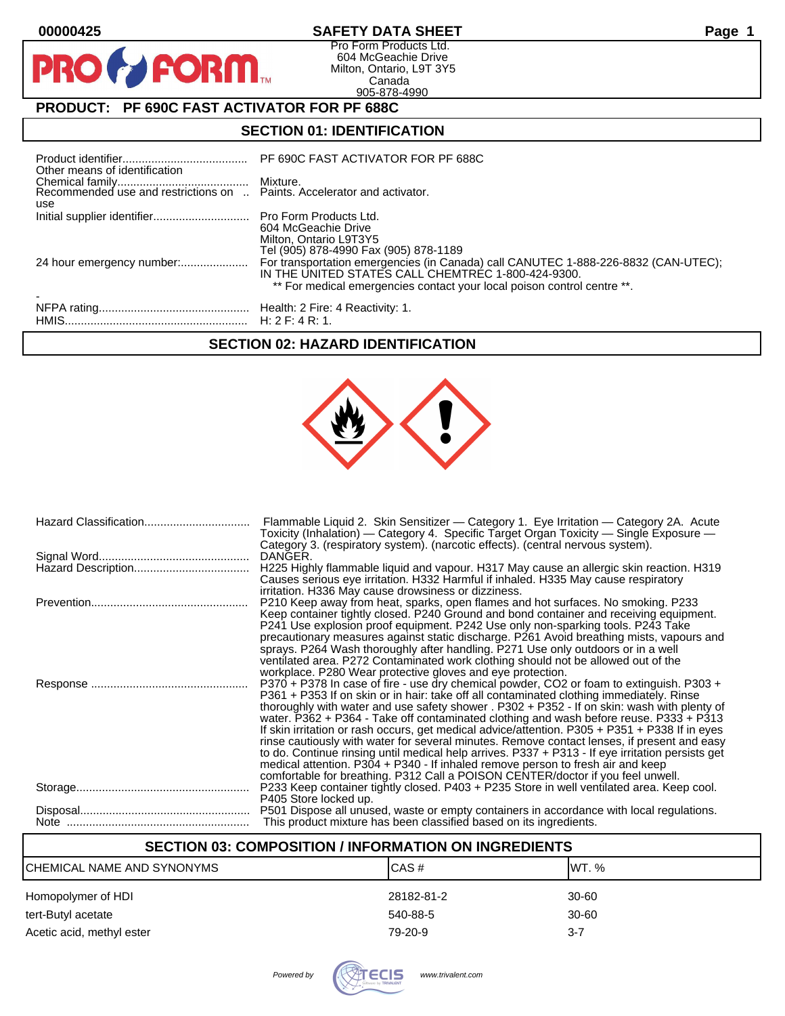$\bullet$ 

PR

# **00000425 SAFETY DATA SHEET Page 1**

Pro Form Products Ltd. 604 McGeachie Drive Milton, Ontario, L9T 3Y5 Canada 905-878-4990

# **PRODUCT: PF 690C FAST ACTIVATOR FOR PF 688C**

**FORM** 

## **SECTION 01: IDENTIFICATION**

| Other means of identification | PF 690C FAST ACTIVATOR FOR PF 688C                                                                                                                                                                                  |  |  |
|-------------------------------|---------------------------------------------------------------------------------------------------------------------------------------------------------------------------------------------------------------------|--|--|
| use                           |                                                                                                                                                                                                                     |  |  |
|                               | 604 McGeachie Drive<br>Milton, Ontario L9T3Y5<br>Tel (905) 878-4990 Fax (905) 878-1189                                                                                                                              |  |  |
|                               | For transportation emergencies (in Canada) call CANUTEC 1-888-226-8832 (CAN-UTEC);<br>IN THE UNITED STATES CALL CHEMTREC 1-800-424-9300.<br>** For medical emergencies contact your local poison control centre **. |  |  |
|                               |                                                                                                                                                                                                                     |  |  |

## **SECTION 02: HAZARD IDENTIFICATION**



| Flammable Liquid 2. Skin Sensitizer - Category 1. Eye Irritation - Category 2A. Acute<br>Toxicity (Inhalation) — Category 4. Specific Target Organ Toxicity — Single Exposure —<br>Category 3. (respiratory system). (narcotic effects). (central nervous system).                                                                                                                                                                                                                                                                                                                                                                                                                                                                                                                                                                                       |
|----------------------------------------------------------------------------------------------------------------------------------------------------------------------------------------------------------------------------------------------------------------------------------------------------------------------------------------------------------------------------------------------------------------------------------------------------------------------------------------------------------------------------------------------------------------------------------------------------------------------------------------------------------------------------------------------------------------------------------------------------------------------------------------------------------------------------------------------------------|
| DANGER.                                                                                                                                                                                                                                                                                                                                                                                                                                                                                                                                                                                                                                                                                                                                                                                                                                                  |
| H225 Highly flammable liquid and vapour. H317 May cause an allergic skin reaction. H319<br>Causes serious eye irritation. H332 Harmful if inhaled. H335 May cause respiratory<br>irritation. H336 May cause drowsiness or dizziness.                                                                                                                                                                                                                                                                                                                                                                                                                                                                                                                                                                                                                     |
| P210 Keep away from heat, sparks, open flames and hot surfaces. No smoking. P233<br>Keep container tightly closed. P240 Ground and bond container and receiving equipment.<br>P241 Use explosion proof equipment. P242 Use only non-sparking tools. P243 Take<br>precautionary measures against static discharge. P261 Avoid breathing mists, vapours and<br>sprays. P264 Wash thoroughly after handling. P271 Use only outdoors or in a well<br>ventilated area. P272 Contaminated work clothing should not be allowed out of the<br>workplace. P280 Wear protective gloves and eye protection.                                                                                                                                                                                                                                                         |
| P370 + P378 In case of fire - use dry chemical powder, CO2 or foam to extinguish. P303 +<br>P361 + P353 If on skin or in hair: take off all contaminated clothing immediately. Rinse<br>thoroughly with water and use safety shower . P302 + P352 - If on skin: wash with plenty of<br>water. P362 + P364 - Take off contaminated clothing and wash before reuse. P333 + P313<br>If skin irritation or rash occurs, get medical advice/attention. P305 + P351 + P338 If in eyes<br>rinse cautiously with water for several minutes. Remove contact lenses, if present and easy<br>to do. Continue rinsing until medical help arrives. P337 + P313 - If eye irritation persists get<br>medical attention. P304 + P340 - If inhaled remove person to fresh air and keep<br>comfortable for breathing. P312 Call a POISON CENTER/doctor if you feel unwell. |
| P233 Keep container tightly closed. P403 + P235 Store in well ventilated area. Keep cool.<br>P405 Store locked up.                                                                                                                                                                                                                                                                                                                                                                                                                                                                                                                                                                                                                                                                                                                                       |
| P501 Dispose all unused, waste or empty containers in accordance with local regulations.<br>This product mixture has been classified based on its ingredients.                                                                                                                                                                                                                                                                                                                                                                                                                                                                                                                                                                                                                                                                                           |

# **SECTION 03: COMPOSITION / INFORMATION ON INGREDIENTS**

| CHEMICAL NAME AND SYNONYMS | ICAS#      | IWT. %  |
|----------------------------|------------|---------|
| Homopolymer of HDI         | 28182-81-2 | 30-60   |
| tert-Butyl acetate         | 540-88-5   | 30-60   |
| Acetic acid, methyl ester  | 79-20-9    | $3 - 7$ |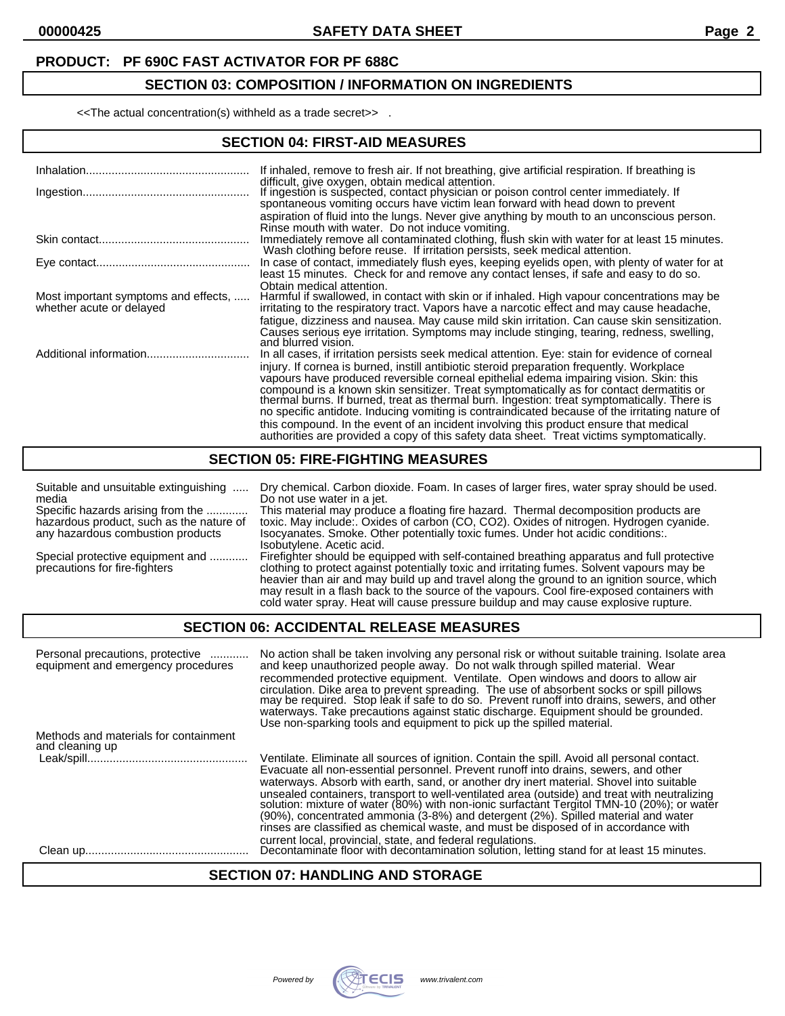### **PRODUCT: PF 690C FAST ACTIVATOR FOR PF 688C**

# **SECTION 03: COMPOSITION / INFORMATION ON INGREDIENTS**

<<The actual concentration(s) withheld as a trade secret>> .

# **SECTION 04: FIRST-AID MEASURES**

|                                                                  | If inhaled, remove to fresh air. If not breathing, give artificial respiration. If breathing is<br>difficult, give oxygen, obtain medical attention.<br>If ingestion is suspected, contact physician or poison control center immediately. If<br>spontaneous vomiting occurs have victim lean forward with head down to prevent<br>aspiration of fluid into the lungs. Never give anything by mouth to an unconscious person.                                                                                                                                                                                                                                                                                                                                            |
|------------------------------------------------------------------|--------------------------------------------------------------------------------------------------------------------------------------------------------------------------------------------------------------------------------------------------------------------------------------------------------------------------------------------------------------------------------------------------------------------------------------------------------------------------------------------------------------------------------------------------------------------------------------------------------------------------------------------------------------------------------------------------------------------------------------------------------------------------|
|                                                                  | Rinse mouth with water. Do not induce vomiting.<br>Immediately remove all contaminated clothing, flush skin with water for at least 15 minutes.<br>Wash clothing before reuse. If irritation persists, seek medical attention.                                                                                                                                                                                                                                                                                                                                                                                                                                                                                                                                           |
|                                                                  | In case of contact, immediately flush eyes, keeping eyelids open, with plenty of water for at<br>least 15 minutes. Check for and remove any contact lenses, if safe and easy to do so.                                                                                                                                                                                                                                                                                                                                                                                                                                                                                                                                                                                   |
| Most important symptoms and effects,<br>whether acute or delayed | Obtain medical attention.<br>Harmful if swallowed, in contact with skin or if inhaled. High vapour concentrations may be<br>irritating to the respiratory tract. Vapors have a narcotic effect and may cause headache,<br>fatigue, dizziness and nausea. May cause mild skin irritation. Can cause skin sensitization.<br>Causes serious eye irritation. Symptoms may include stinging, tearing, redness, swelling,<br>and blurred vision.                                                                                                                                                                                                                                                                                                                               |
|                                                                  | In all cases, if irritation persists seek medical attention. Eye: stain for evidence of corneal<br>injury. If cornea is burned, instill antibiotic steroid preparation frequently. Workplace<br>vapours have produced reversible corneal epithelial edema impairing vision. Skin: this<br>compound is a known skin sensitizer. Treat symptomatically as for contact dermatitis or<br>thermal burns. If burned, treat as thermal burn. Ingestion: treat symptomatically. There is<br>no specific antidote. Inducing vomiting is contraindicated because of the irritating nature of<br>this compound. In the event of an incident involving this product ensure that medical<br>authorities are provided a copy of this safety data sheet. Treat victims symptomatically. |

# **SECTION 05: FIRE-FIGHTING MEASURES**

| Suitable and unsuitable extinguishing                             | Dry chemical. Carbon dioxide. Foam. In cases of larger fires, water spray should be used.                                                                                                                                                                                                                                                                                                                                                                                                                |
|-------------------------------------------------------------------|----------------------------------------------------------------------------------------------------------------------------------------------------------------------------------------------------------------------------------------------------------------------------------------------------------------------------------------------------------------------------------------------------------------------------------------------------------------------------------------------------------|
| media                                                             | Do not use water in a jet.                                                                                                                                                                                                                                                                                                                                                                                                                                                                               |
| Specific hazards arising from the                                 | This material may produce a floating fire hazard. Thermal decomposition products are                                                                                                                                                                                                                                                                                                                                                                                                                     |
| hazardous product, such as the nature of                          | toxic. May include: Oxides of carbon (CO, CO2). Oxides of nitrogen. Hydrogen cyanide.                                                                                                                                                                                                                                                                                                                                                                                                                    |
| any hazardous combustion products                                 | Isocyanates. Smoke. Other potentially toxic fumes. Under hot acidic conditions:.                                                                                                                                                                                                                                                                                                                                                                                                                         |
| Special protective equipment and<br>precautions for fire-fighters | Isobutylene. Acetic acid.<br>Firefighter should be equipped with self-contained breathing apparatus and full protective<br>clothing to protect against potentially toxic and irritating fumes. Solvent vapours may be<br>heavier than air and may build up and travel along the ground to an ignition source, which<br>may result in a flash back to the source of the vapours. Cool fire-exposed containers with<br>cold water spray. Heat will cause pressure buildup and may cause explosive rupture. |

## **SECTION 06: ACCIDENTAL RELEASE MEASURES**

| Personal precautions, protective<br>equipment and emergency procedures | No action shall be taken involving any personal risk or without suitable training. Isolate area<br>and keep unauthorized people away. Do not walk through spilled material. Wear<br>recommended protective equipment. Ventilate. Open windows and doors to allow air<br>circulation. Dike area to prevent spreading. The use of absorbent socks or spill pillows may be required. Stop leak if safe to do so. Prevent runoff into drains, sewers, and other<br>waterways. Take precautions against static discharge. Equipment should be grounded.<br>Use non-sparking tools and equipment to pick up the spilled material.                                                                                            |
|------------------------------------------------------------------------|------------------------------------------------------------------------------------------------------------------------------------------------------------------------------------------------------------------------------------------------------------------------------------------------------------------------------------------------------------------------------------------------------------------------------------------------------------------------------------------------------------------------------------------------------------------------------------------------------------------------------------------------------------------------------------------------------------------------|
| Methods and materials for containment                                  |                                                                                                                                                                                                                                                                                                                                                                                                                                                                                                                                                                                                                                                                                                                        |
| and cleaning up                                                        |                                                                                                                                                                                                                                                                                                                                                                                                                                                                                                                                                                                                                                                                                                                        |
| Leak/spill                                                             | Ventilate. Eliminate all sources of ignition. Contain the spill. Avoid all personal contact.<br>Evacuate all non-essential personnel. Prevent runoff into drains, sewers, and other<br>waterways. Absorb with earth, sand, or another dry inert material. Shovel into suitable<br>unsealed containers, transport to well-ventilated area (outside) and treat with neutralizing<br>solution: mixture of water (80%) with non-ionic surfactant Tergitol TMN-10 (20%); or water<br>(90%), concentrated ammonia (3-8%) and detergent (2%). Spilled material and water<br>rinses are classified as chemical waste, and must be disposed of in accordance with<br>current local, provincial, state, and federal regulations. |
|                                                                        | Decontaminate floor with decontamination solution, letting stand for at least 15 minutes.                                                                                                                                                                                                                                                                                                                                                                                                                                                                                                                                                                                                                              |

## **SECTION 07: HANDLING AND STORAGE**

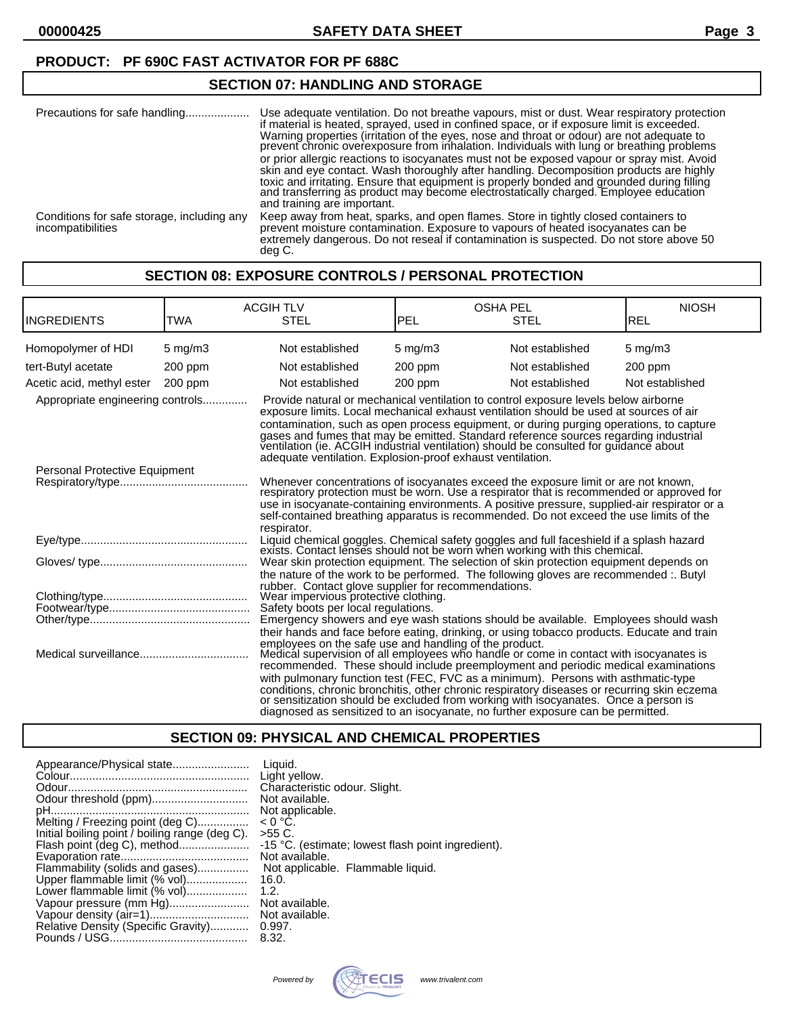**00000425 SAFETY DATA SHEET Page 3**

### **PRODUCT: PF 690C FAST ACTIVATOR FOR PF 688C**

## **SECTION 07: HANDLING AND STORAGE**

| Precautions for safe handling                                   | Use adequate ventilation. Do not breathe vapours, mist or dust. Wear respiratory protection<br>if material is heated, sprayed, used in confined space, or if exposure limit is exceeded.<br>Warning properties (irritation of the eyes, nose and throat or odour) are not adequate to prevent chronic overexposure from inhalation. Individuals with lung or breathing problems<br>or prior allergic reactions to isocyanates must not be exposed vapour or spray mist. Avoid<br>skin and eye contact. Wash thoroughly after handling. Decomposition products are highly<br>toxic and irritating. Ensure that equipment is properly bonded and grounded during filling<br>and transferring as product may become electrostatically charged. Employee education<br>and training are important. |
|-----------------------------------------------------------------|-----------------------------------------------------------------------------------------------------------------------------------------------------------------------------------------------------------------------------------------------------------------------------------------------------------------------------------------------------------------------------------------------------------------------------------------------------------------------------------------------------------------------------------------------------------------------------------------------------------------------------------------------------------------------------------------------------------------------------------------------------------------------------------------------|
| Conditions for safe storage, including any<br>incompatibilities | Keep away from heat, sparks, and open flames. Store in tightly closed containers to<br>prevent moisture contamination. Exposure to vapours of heated isocyanates can be<br>extremely dangerous. Do not reseal if contamination is suspected. Do not store above 50<br>deg C.                                                                                                                                                                                                                                                                                                                                                                                                                                                                                                                  |

# **SECTION 08: EXPOSURE CONTROLS / PERSONAL PROTECTION**

| <b>INGREDIENTS</b>                                                                                                                                                                | TWA              | <b>ACGIH TLV</b><br><b>STEL</b>                                                                                                                                                                                                                                                                                                                                                                                                                                                                                                                                                                  | <b>OSHA PEL</b><br><b>PEL</b><br><b>STEL</b> |                 | <b>NIOSH</b><br>IREL |  |
|-----------------------------------------------------------------------------------------------------------------------------------------------------------------------------------|------------------|--------------------------------------------------------------------------------------------------------------------------------------------------------------------------------------------------------------------------------------------------------------------------------------------------------------------------------------------------------------------------------------------------------------------------------------------------------------------------------------------------------------------------------------------------------------------------------------------------|----------------------------------------------|-----------------|----------------------|--|
|                                                                                                                                                                                   |                  |                                                                                                                                                                                                                                                                                                                                                                                                                                                                                                                                                                                                  |                                              |                 |                      |  |
| Homopolymer of HDI                                                                                                                                                                | $5 \text{ mg/m}$ | Not established                                                                                                                                                                                                                                                                                                                                                                                                                                                                                                                                                                                  | $5 \text{ mg/m}$                             | Not established | $5 \text{ mg/m}$ 3   |  |
| tert-Butyl acetate                                                                                                                                                                | $200$ ppm        | Not established                                                                                                                                                                                                                                                                                                                                                                                                                                                                                                                                                                                  | $200$ ppm                                    | Not established | $200$ ppm            |  |
| Acetic acid, methyl ester                                                                                                                                                         | 200 ppm          | Not established                                                                                                                                                                                                                                                                                                                                                                                                                                                                                                                                                                                  | 200 ppm                                      | Not established | Not established      |  |
| Appropriate engineering controls                                                                                                                                                  |                  | Provide natural or mechanical ventilation to control exposure levels below airborne<br>exposure limits. Local mechanical exhaust ventilation should be used at sources of air<br>contamination, such as open process equipment, or during purging operations, to capture<br>gases and fumes that may be emitted. Standard reference sources regarding industrial<br>ventilation (ie. ACGIH industrial ventilation) should be consulted for guidance about<br>adequate ventilation. Explosion-proof exhaust ventilation.                                                                          |                                              |                 |                      |  |
| Personal Protective Equipment                                                                                                                                                     |                  |                                                                                                                                                                                                                                                                                                                                                                                                                                                                                                                                                                                                  |                                              |                 |                      |  |
|                                                                                                                                                                                   |                  | Whenever concentrations of isocyanates exceed the exposure limit or are not known,<br>respiratory protection must be worn. Use a respirator that is recommended or approved for<br>use in isocyanate-containing environments. A positive pressure, supplied-air respirator or a<br>self-contained breathing apparatus is recommended. Do not exceed the use limits of the                                                                                                                                                                                                                        |                                              |                 |                      |  |
| respirator.<br>Liquid chemical goggles. Chemical safety goggles and full faceshield if a splash hazard exists. Contact lenses should not be worn when working with this chemical. |                  |                                                                                                                                                                                                                                                                                                                                                                                                                                                                                                                                                                                                  |                                              |                 |                      |  |
|                                                                                                                                                                                   |                  | Wear skin protection equipment. The selection of skin protection equipment depends on                                                                                                                                                                                                                                                                                                                                                                                                                                                                                                            |                                              |                 |                      |  |
|                                                                                                                                                                                   |                  | the nature of the work to be performed. The following gloves are recommended :. Butyl<br>rubber. Contact glove supplier for recommendations.<br>Wear impervious protective clothing.<br>Safety boots per local regulations.<br>Emergency showers and eye wash stations should be available. Employees should wash<br>their hands and face before eating, drinking, or using tobacco products. Educate and train                                                                                                                                                                                  |                                              |                 |                      |  |
|                                                                                                                                                                                   |                  | employees on the safe use and handling of the product.<br>Medical supervision of all employees who handle or come in contact with isocyanates is<br>recommended. These should include preemployment and periodic medical examinations<br>with pulmonary function test (FEC, FVC as a minimum). Persons with asthmatic-type<br>conditions, chronic bronchitis, other chronic respiratory diseases or recurring skin eczema or sensitization should be excluded from working with isocyanates. Once a person is<br>diagnosed as sensitized to an isocyanate, no further exposure can be permitted. |                                              |                 |                      |  |

# **SECTION 09: PHYSICAL AND CHEMICAL PROPERTIES**

| Appearance/Physical state                      | Liauid.                                            |
|------------------------------------------------|----------------------------------------------------|
|                                                | Light yellow.                                      |
|                                                | Characteristic odour. Slight.                      |
| Odour threshold (ppm)                          | Not available.                                     |
|                                                | Not applicable.                                    |
| Melting / Freezing point (deg C)               | $< 0 °C$ .                                         |
| Initial boiling point / boiling range (deg C). | $>55$ C.                                           |
| Flash point (deg C), method                    | -15 °C. (estimate; lowest flash point ingredient). |
|                                                | Not available.                                     |
| Flammability (solids and gases)                | Not applicable. Flammable liquid.                  |
| Upper flammable limit (% vol)                  | 16.0.                                              |
| Lower flammable limit (% vol)                  | 1.2.                                               |
| Vapour pressure (mm Hg)                        | Not available.                                     |
|                                                | Not available.                                     |
| Relative Density (Specific Gravity)            | 0.997.                                             |
|                                                | 8.32.                                              |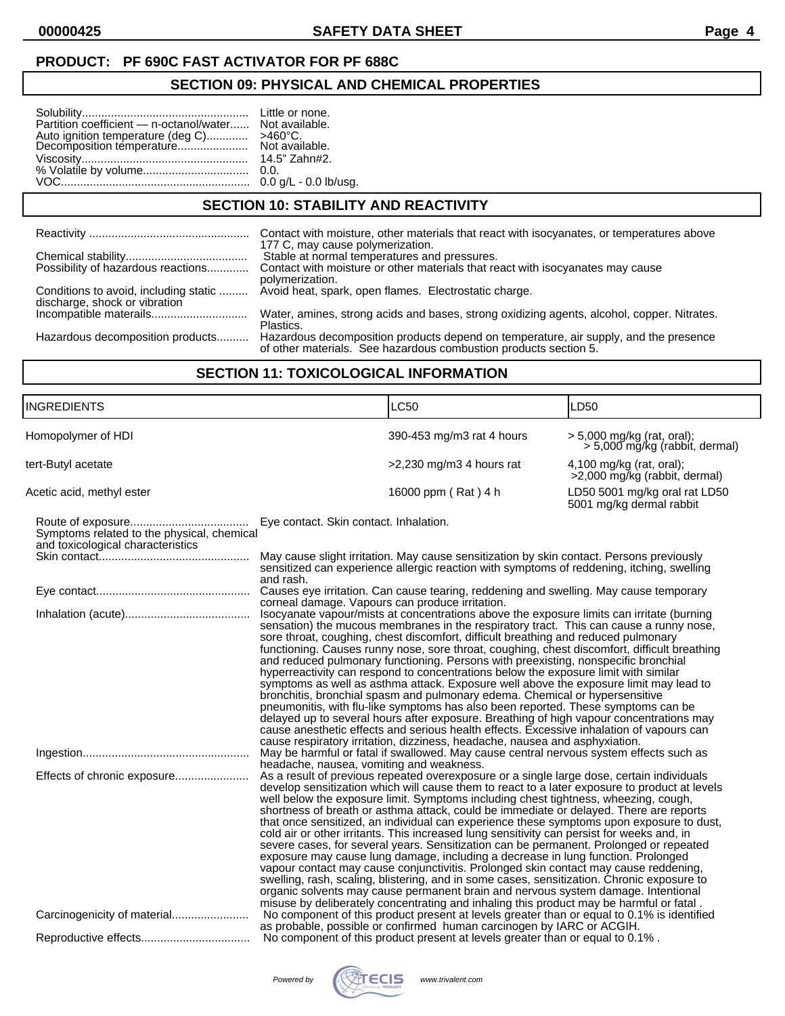## **PRODUCT: PF 690C FAST ACTIVATOR FOR PF 688C**

# **SECTION 09: PHYSICAL AND CHEMICAL PROPERTIES**

| Partition coefficient - n-octanol/water Not available.<br>Auto ignition temperature (deg C) >460°C.<br>Decomposition temperature Not available. |                                        |
|-------------------------------------------------------------------------------------------------------------------------------------------------|----------------------------------------|
|                                                                                                                                                 | 14.5" Zahn#2.<br>0.0 g/L - 0.0 lb/usg. |

# **SECTION 10: STABILITY AND REACTIVITY**

|                                                                        | Contact with moisture, other materials that react with isocyanates, or temperatures above<br>177 C, may cause polymerization.                            |
|------------------------------------------------------------------------|----------------------------------------------------------------------------------------------------------------------------------------------------------|
| Possibility of hazardous reactions                                     | Stable at normal temperatures and pressures.<br>Contact with moisture or other materials that react with isocyanates may cause<br>polymerization.        |
| Conditions to avoid, including static<br>discharge, shock or vibration | Avoid heat, spark, open flames. Electrostatic charge.                                                                                                    |
|                                                                        | Water, amines, strong acids and bases, strong oxidizing agents, alcohol, copper. Nitrates.<br>Plastics.                                                  |
| Hazardous decomposition products                                       | Hazardous decomposition products depend on temperature, air supply, and the presence<br>of other materials. See hazardous combustion products section 5. |

# **SECTION 11: TOXICOLOGICAL INFORMATION**

| <b>INGREDIENTS</b>                                                              |                                                                                                        | <b>LC50</b>                                                                                                                                                                                                                                                                                                                                                                                                                                                                                                                                                                                                                                                                                                                                                                                                                                                                                                                                                                                                                                                                                                                                                                                                                                                                                                                                                                                                                                                                 | LD50                                                         |
|---------------------------------------------------------------------------------|--------------------------------------------------------------------------------------------------------|-----------------------------------------------------------------------------------------------------------------------------------------------------------------------------------------------------------------------------------------------------------------------------------------------------------------------------------------------------------------------------------------------------------------------------------------------------------------------------------------------------------------------------------------------------------------------------------------------------------------------------------------------------------------------------------------------------------------------------------------------------------------------------------------------------------------------------------------------------------------------------------------------------------------------------------------------------------------------------------------------------------------------------------------------------------------------------------------------------------------------------------------------------------------------------------------------------------------------------------------------------------------------------------------------------------------------------------------------------------------------------------------------------------------------------------------------------------------------------|--------------------------------------------------------------|
| Homopolymer of HDI                                                              |                                                                                                        | 390-453 mg/m3 rat 4 hours                                                                                                                                                                                                                                                                                                                                                                                                                                                                                                                                                                                                                                                                                                                                                                                                                                                                                                                                                                                                                                                                                                                                                                                                                                                                                                                                                                                                                                                   | > 5,000 mg/kg (rat, oral);<br>> 5,000 mg/kg (rabbit, dermal) |
| tert-Butyl acetate                                                              |                                                                                                        | $>2,230$ mg/m3 4 hours rat                                                                                                                                                                                                                                                                                                                                                                                                                                                                                                                                                                                                                                                                                                                                                                                                                                                                                                                                                                                                                                                                                                                                                                                                                                                                                                                                                                                                                                                  | $4,100$ mg/kg (rat, oral);<br>>2,000 mg/kg (rabbit, dermal)  |
| Acetic acid, methyl ester                                                       |                                                                                                        | 16000 ppm (Rat) 4 h                                                                                                                                                                                                                                                                                                                                                                                                                                                                                                                                                                                                                                                                                                                                                                                                                                                                                                                                                                                                                                                                                                                                                                                                                                                                                                                                                                                                                                                         | LD50 5001 mg/kg oral rat LD50<br>5001 mg/kg dermal rabbit    |
| Symptoms related to the physical, chemical<br>and toxicological characteristics | Eye contact. Skin contact. Inhalation.<br>and rash.<br>corneal damage. Vapours can produce irritation. | sensitized can experience allergic reaction with symptoms of reddening, itching, swelling<br>Causes eye irritation. Can cause tearing, reddening and swelling. May cause temporary<br>Isocyanate vapour/mists at concentrations above the exposure limits can irritate (burning<br>sensation) the mucous membranes in the respiratory tract. This can cause a runny nose,<br>sore throat, coughing, chest discomfort, difficult breathing and reduced pulmonary<br>functioning. Causes runny nose, sore throat, coughing, chest discomfort, difficult breathing<br>and reduced pulmonary functioning. Persons with preexisting, nonspecific bronchial<br>hyperreactivity can respond to concentrations below the exposure limit with similar<br>symptoms as well as asthma attack. Exposure well above the exposure limit may lead to<br>bronchitis, bronchial spasm and pulmonary edema. Chemical or hypersensitive<br>pneumonitis, with flu-like symptoms has also been reported. These symptoms can be<br>delayed up to several hours after exposure. Breathing of high vapour concentrations may<br>cause anesthetic effects and serious health effects. Excessive inhalation of vapours can<br>cause respiratory irritation, dizziness, headache, nausea and asphyxiation.                                                                                                                                                                                             |                                                              |
| Carcinogenicity of material                                                     | headache, nausea, vomiting and weakness.                                                               | May be harmful or fatal if swallowed. May cause central nervous system effects such as<br>As a result of previous repeated overexposure or a single large dose, certain individuals<br>develop sensitization which will cause them to react to a later exposure to product at levels<br>well below the exposure limit. Symptoms including chest tightness, wheezing, cough,<br>shortness of breath or asthma attack, could be immediate or delayed. There are reports<br>that once sensitized, an individual can experience these symptoms upon exposure to dust,<br>cold air or other irritants. This increased lung sensitivity can persist for weeks and, in<br>severe cases, for several years. Sensitization can be permanent. Prolonged or repeated<br>exposure may cause lung damage, including a decrease in lung function. Prolonged<br>vapour contact may cause conjunctivitis. Prolonged skin contact may cause reddening,<br>swelling, rash, scaling, blistering, and in some cases, sensitization. Chronic exposure to<br>organic solvents may cause permanent brain and nervous system damage. Intentional<br>misuse by deliberately concentrating and inhaling this product may be harmful or fatal.<br>No component of this product present at levels greater than or equal to 0.1% is identified<br>as probable, possible or confirmed human carcinogen by IARC or ACGIH.<br>No component of this product present at levels greater than or equal to 0.1%. |                                                              |